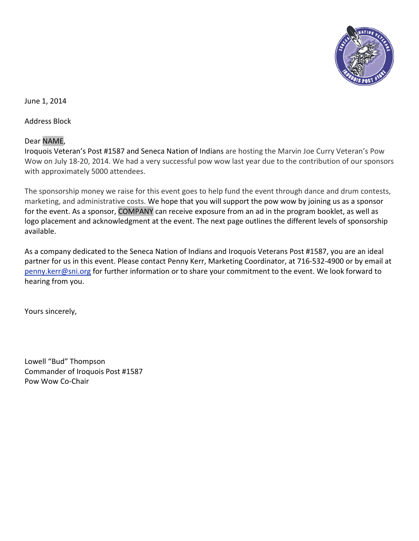

June 1, 2014

Address Block

# Dear NAME,

Iroquois Veteran's Post #1587 and Seneca Nation of Indians are hosting the Marvin Joe Curry Veteran's Pow Wow on July 18-20, 2014. We had a very successful pow wow last year due to the contribution of our sponsors with approximately 5000 attendees.

The sponsorship money we raise for this event goes to help fund the event through dance and drum contests, marketing, and administrative costs. We hope that you will support the pow wow by joining us as a sponsor for the event. As a sponsor, COMPANY can receive exposure from an ad in the program booklet, as well as logo placement and acknowledgment at the event. The next page outlines the different levels of sponsorship available.

As a company dedicated to the Seneca Nation of Indians and Iroquois Veterans Post #1587, you are an ideal partner for us in this event. Please contact Penny Kerr, Marketing Coordinator, at 716-532-4900 or by email at [penny.kerr@sni.org](mailto:penny.kerr@sni.org) for further information or to share your commitment to the event. We look forward to hearing from you.

Yours sincerely,

Lowell "Bud" Thompson Commander of Iroquois Post #1587 Pow Wow Co-Chair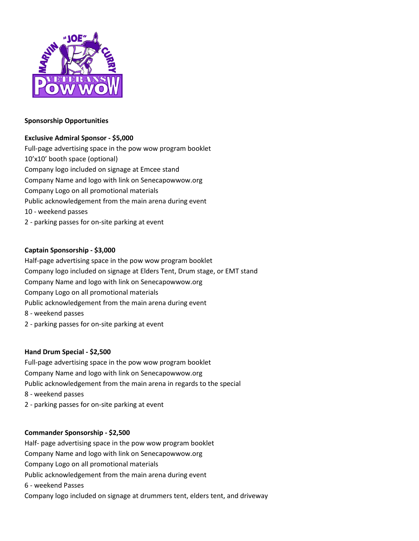

## **Sponsorship Opportunities**

# **Exclusive Admiral Sponsor - \$5,000**

Full-page advertising space in the pow wow program booklet 10'x10' booth space (optional) Company logo included on signage at Emcee stand Company Name and logo with link on Senecapowwow.org Company Logo on all promotional materials Public acknowledgement from the main arena during event 10 - weekend passes 2 - parking passes for on-site parking at event

# **Captain Sponsorship - \$3,000**

Half-page advertising space in the pow wow program booklet Company logo included on signage at Elders Tent, Drum stage, or EMT stand Company Name and logo with link on Senecapowwow.org Company Logo on all promotional materials Public acknowledgement from the main arena during event 8 - weekend passes 2 - parking passes for on-site parking at event

#### **Hand Drum Special - \$2,500**

Full-page advertising space in the pow wow program booklet Company Name and logo with link on Senecapowwow.org Public acknowledgement from the main arena in regards to the special

- 8 weekend passes
- 2 parking passes for on-site parking at event

#### **Commander Sponsorship - \$2,500**

Half- page advertising space in the pow wow program booklet Company Name and logo with link on Senecapowwow.org Company Logo on all promotional materials Public acknowledgement from the main arena during event 6 - weekend Passes Company logo included on signage at drummers tent, elders tent, and driveway